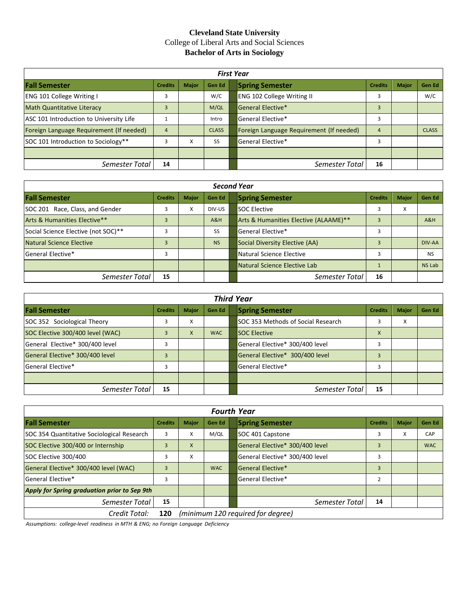## **Cleveland State University** College of Liberal Arts and Social Sciences **Bachelor of Arts in Sociology**

| <b>First Year</b>                        |                |              |               |  |                                          |                |              |              |
|------------------------------------------|----------------|--------------|---------------|--|------------------------------------------|----------------|--------------|--------------|
| <b>Fall Semester</b>                     | <b>Credits</b> | <b>Major</b> | <b>Gen Ed</b> |  | <b>Spring Semester</b>                   | <b>Credits</b> | <b>Major</b> | Gen Ed       |
| <b>ENG 101 College Writing I</b>         |                |              | W/C           |  | <b>ENG 102 College Writing II</b>        | 3              |              | W/C          |
| <b>Math Quantitative Literacy</b>        |                |              | M/QL          |  | General Elective*                        | 3              |              |              |
| ASC 101 Introduction to University Life  |                |              | Intro         |  | General Elective*                        | 3              |              |              |
| Foreign Language Requirement (If needed) |                |              | <b>CLASS</b>  |  | Foreign Language Requirement (If needed) | $\overline{a}$ |              | <b>CLASS</b> |
| SOC 101 Introduction to Sociology**      |                | x            | SS            |  | General Elective*                        | 3              |              |              |
|                                          |                |              |               |  |                                          |                |              |              |
| Semester Total                           | 14             |              |               |  | Semester Total                           | 16             |              |              |

| <b>Second Year</b>                  |                |              |           |  |                                       |                |              |               |
|-------------------------------------|----------------|--------------|-----------|--|---------------------------------------|----------------|--------------|---------------|
| <b>Fall Semester</b>                | <b>Credits</b> | <b>Major</b> | Gen Ed    |  | <b>Spring Semester</b>                | <b>Credits</b> | <b>Major</b> | Gen Ed        |
| SOC 201 Race, Class, and Gender     | 3              | X            | DIV-US    |  | <b>SOC Elective</b>                   | 3              | x            |               |
| Arts & Humanities Elective**        | 3              |              | A&H       |  | Arts & Humanities Elective (ALAAME)** | 3              |              | A&H           |
| Social Science Elective (not SOC)** | 3              |              | SS        |  | General Elective*                     |                |              |               |
| Natural Science Elective            | 3              |              | <b>NS</b> |  | Social Diversity Elective (AA)        |                |              | DIV-AA        |
| <b>General Elective*</b>            | 3              |              |           |  | Natural Science Elective              |                |              | <b>NS</b>     |
|                                     |                |              |           |  | Natural Science Elective Lab          |                |              | <b>NS Lab</b> |
| Semester Total                      | 15             |              |           |  | Semester Total                        | 16             |              |               |

| <b>Third Year</b>                |                |              |            |  |                                    |                |              |        |
|----------------------------------|----------------|--------------|------------|--|------------------------------------|----------------|--------------|--------|
| <b>Fall Semester</b>             | <b>Credits</b> | <b>Major</b> | Gen Ed     |  | <b>Spring Semester</b>             | <b>Credits</b> | <b>Major</b> | Gen Ed |
| SOC 352 Sociological Theory      | 3              | x            |            |  | SOC 353 Methods of Social Research |                | X            |        |
| SOC Elective 300/400 level (WAC) | З              | X            | <b>WAC</b> |  | <b>SOC Elective</b>                | X              |              |        |
| General Elective* 300/400 level  | з              |              |            |  | General Elective* 300/400 level    |                |              |        |
| General Elective* 300/400 level  | ξ              |              |            |  | General Elective* 300/400 level    |                |              |        |
| General Elective*                | 3              |              |            |  | General Elective*                  |                |              |        |
|                                  |                |              |            |  |                                    |                |              |        |
| Semester Total                   | 15             |              |            |  | Semester Total                     | 15             |              |        |

| <b>Fourth Year</b>                           |                |                                   |            |  |                                 |                |              |            |
|----------------------------------------------|----------------|-----------------------------------|------------|--|---------------------------------|----------------|--------------|------------|
| <b>Fall Semester</b>                         | <b>Credits</b> | <b>Major</b>                      | Gen Ed     |  | <b>Spring Semester</b>          | <b>Credits</b> | <b>Major</b> | Gen Ed     |
| SOC 354 Quantitative Sociological Research   | 3              | X                                 | M/QL       |  | SOC 401 Capstone                |                | X            | CAP        |
| SOC Elective 300/400 or Internship           | 3              | X                                 |            |  | General Elective* 300/400 level | 3              |              | <b>WAC</b> |
| SOC Elective 300/400                         | 3              | x                                 |            |  | General Elective* 300/400 level |                |              |            |
| General Elective* 300/400 level (WAC)        | 3              |                                   | <b>WAC</b> |  | General Elective*               | 3              |              |            |
| General Elective*                            | 3              |                                   |            |  | General Elective*               | $\overline{2}$ |              |            |
| Apply for Spring graduation prior to Sep 9th |                |                                   |            |  |                                 |                |              |            |
| Semester Total                               | 15             |                                   |            |  | Semester Total                  | 14             |              |            |
| Credit Total:                                | 120            | (minimum 120 required for degree) |            |  |                                 |                |              |            |

*Assumptions: college‐level readiness in MTH & ENG; no Foreign Language Deficiency*